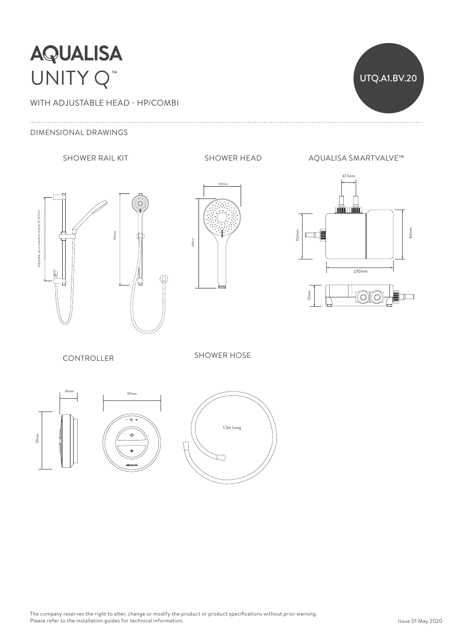# **AQUALISA** UNITY Q™

WITH ADJUSTABLE HEAD - HP/COMBI

#### DIMENSIONAL DRAWINGS





SHOWER RAIL KIT SHOWER HEAD AQUALISA SMARTVALVE™

UTQ.A1.BV.20



CONTROLLER

SHOWER HOSE